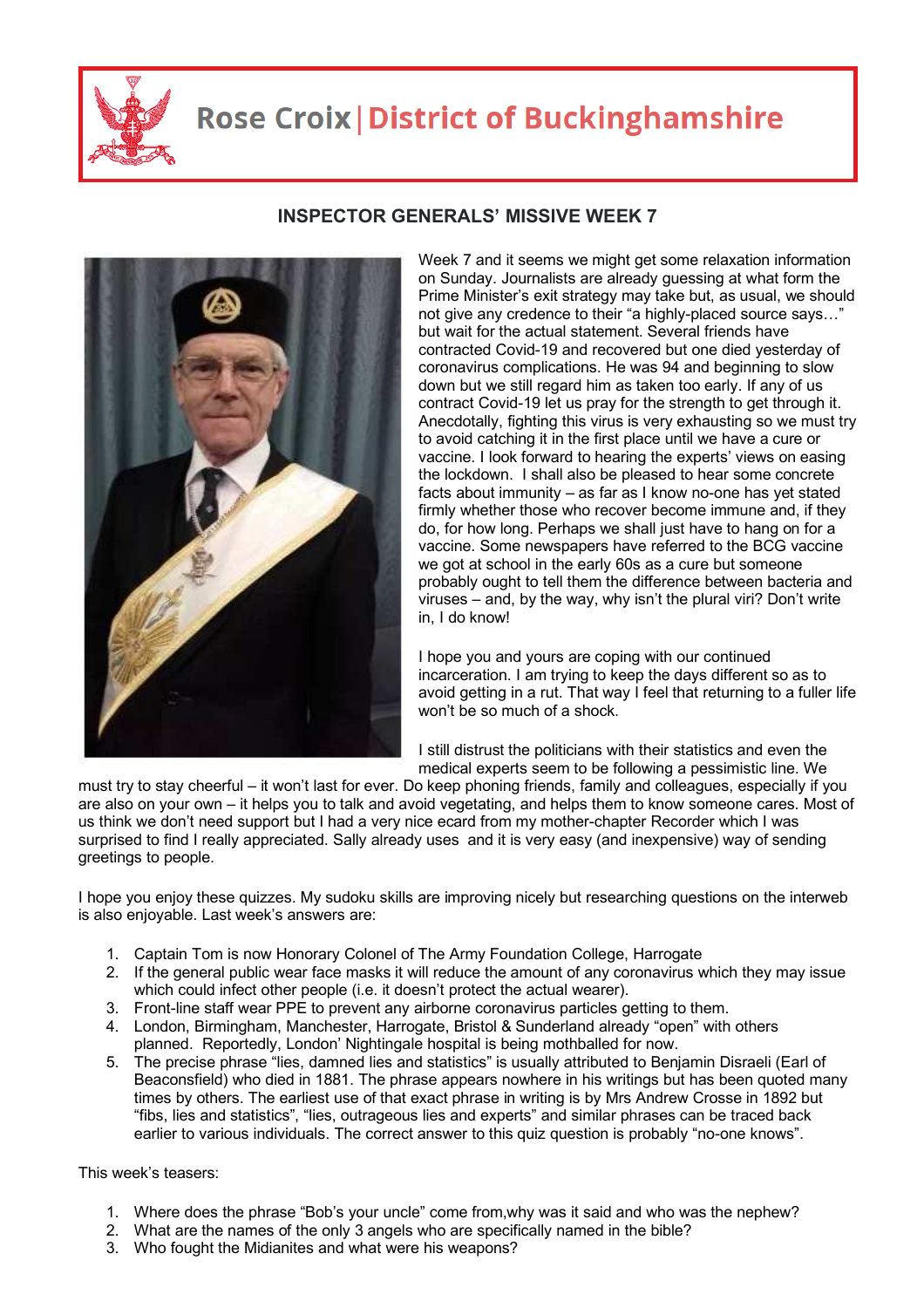

## **Rose Croix | District of Buckinghamshire**



## **INSPECTOR GENERALS' MISSIVE WEEK 7**

Week 7 and it seems we might get some relaxation information on Sunday. Journalists are already guessing at what form the Prime Minister's exit strategy may take but, as usual, we should not give any credence to their "a highly-placed source says…" but wait for the actual statement. Several friends have contracted Covid-19 and recovered but one died yesterday of coronavirus complications. He was 94 and beginning to slow down but we still regard him as taken too early. If any of us contract Covid-19 let us pray for the strength to get through it. Anecdotally, fighting this virus is very exhausting so we must try to avoid catching it in the first place until we have a cure or vaccine. I look forward to hearing the experts' views on easing the lockdown. I shall also be pleased to hear some concrete facts about immunity – as far as I know no-one has yet stated firmly whether those who recover become immune and, if they do, for how long. Perhaps we shall just have to hang on for a vaccine. Some newspapers have referred to the BCG vaccine we got at school in the early 60s as a cure but someone probably ought to tell them the difference between bacteria and viruses – and, by the way, why isn't the plural viri? Don't write in, I do know!

I hope you and yours are coping with our continued incarceration. I am trying to keep the days different so as to avoid getting in a rut. That way I feel that returning to a fuller life won't be so much of a shock.

I still distrust the politicians with their statistics and even the medical experts seem to be following a pessimistic line. We

must try to stay cheerful – it won't last for ever. Do keep phoning friends, family and colleagues, especially if you are also on your own – it helps you to talk and avoid vegetating, and helps them to know someone cares. Most of us think we don't need support but I had a very nice ecard from my mother-chapter Recorder which I was surprised to find I really appreciated. Sally already uses and it is very easy (and inexpensive) way of sending greetings to people.

I hope you enjoy these quizzes. My sudoku skills are improving nicely but researching questions on the interweb is also enjoyable. Last week's answers are:

- 1. Captain Tom is now Honorary Colonel of The Army Foundation College, Harrogate
- 2. If the general public wear face masks it will reduce the amount of any coronavirus which they may issue which could infect other people (i.e. it doesn't protect the actual wearer).
- 3. Front-line staff wear PPE to prevent any airborne coronavirus particles getting to them.
- 4. London, Birmingham, Manchester, Harrogate, Bristol & Sunderland already "open" with others planned. Reportedly, London' Nightingale hospital is being mothballed for now.
- 5. The precise phrase "lies, damned lies and statistics" is usually attributed to Benjamin Disraeli (Earl of Beaconsfield) who died in 1881. The phrase appears nowhere in his writings but has been quoted many times by others. The earliest use of that exact phrase in writing is by Mrs Andrew Crosse in 1892 but "fibs, lies and statistics", "lies, outrageous lies and experts" and similar phrases can be traced back earlier to various individuals. The correct answer to this quiz question is probably "no-one knows".

This week's teasers:

- 1. Where does the phrase "Bob's your uncle" come from,why was it said and who was the nephew?
- 2. What are the names of the only 3 angels who are specifically named in the bible?
- 3. Who fought the Midianites and what were his weapons?